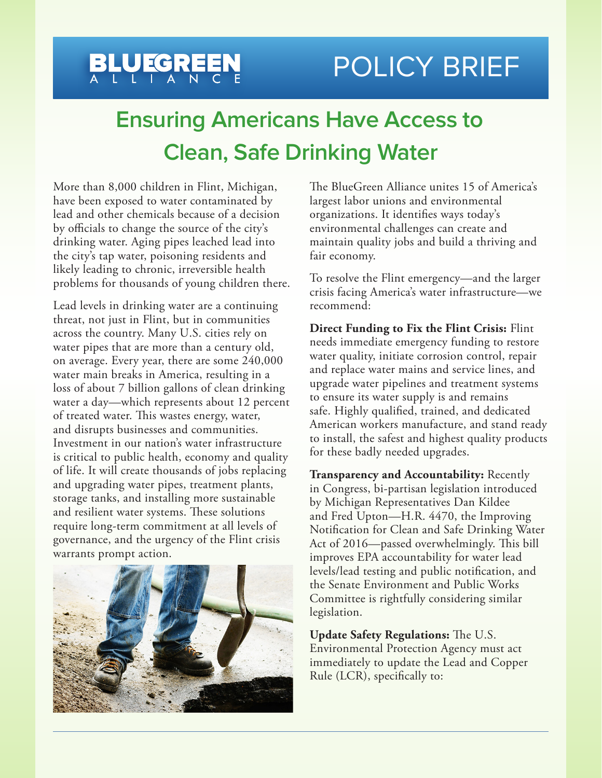## BLUEGREEN POLICY BRIEF

## **Ensuring Americans Have Access to Clean, Safe Drinking Water**

More than 8,000 children in Flint, Michigan, have been exposed to water contaminated by lead and other chemicals because of a decision by officials to change the source of the city's drinking water. Aging pipes leached lead into the city's tap water, poisoning residents and likely leading to chronic, irreversible health problems for thousands of young children there.

Lead levels in drinking water are a continuing threat, not just in Flint, but in communities across the country. Many U.S. cities rely on water pipes that are more than a century old, on average. Every year, there are some 240,000 water main breaks in America, resulting in a loss of about 7 billion gallons of clean drinking water a day—which represents about 12 percent of treated water. This wastes energy, water, and disrupts businesses and communities. Investment in our nation's water infrastructure is critical to public health, economy and quality of life. It will create thousands of jobs replacing and upgrading water pipes, treatment plants, storage tanks, and installing more sustainable and resilient water systems. These solutions require long-term commitment at all levels of governance, and the urgency of the Flint crisis warrants prompt action.



The BlueGreen Alliance unites 15 of America's largest labor unions and environmental organizations. It identifies ways today's environmental challenges can create and maintain quality jobs and build a thriving and fair economy.

To resolve the Flint emergency—and the larger crisis facing America's water infrastructure—we recommend:

**Direct Funding to Fix the Flint Crisis:** Flint needs immediate emergency funding to restore water quality, initiate corrosion control, repair and replace water mains and service lines, and upgrade water pipelines and treatment systems to ensure its water supply is and remains safe. Highly qualified, trained, and dedicated American workers manufacture, and stand ready to install, the safest and highest quality products for these badly needed upgrades.

**Transparency and Accountability:** Recently in Congress, bi-partisan legislation introduced by Michigan Representatives Dan Kildee and Fred Upton—H.R. 4470, the Improving Notification for Clean and Safe Drinking Water Act of 2016—passed overwhelmingly. This bill improves EPA accountability for water lead levels/lead testing and public notification, and the Senate Environment and Public Works Committee is rightfully considering similar legislation.

**Update Safety Regulations:** The U.S. Environmental Protection Agency must act immediately to update the Lead and Copper Rule (LCR), specifically to: